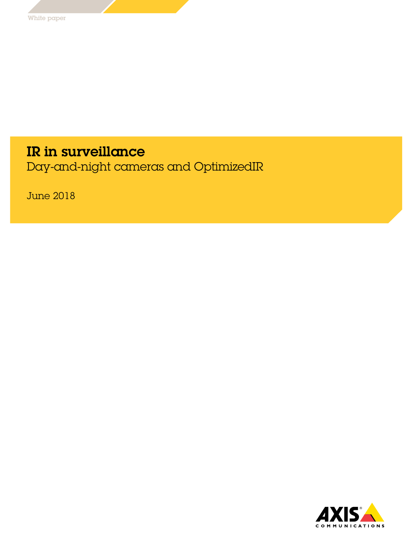# IR in surveillance

Day-and-night cameras and OptimizedIR

June 2018

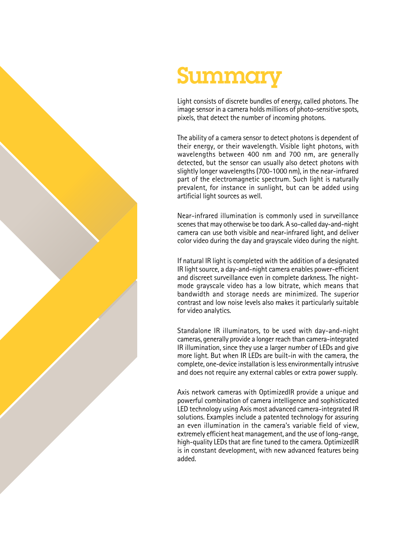

# Summar

Light consists of discrete bundles of energy, called photons. The image sensor in a camera holds millions of photo-sensitive spots, pixels, that detect the number of incoming photons.

The ability of a camera sensor to detect photons is dependent of their energy, or their wavelength. Visible light photons, with wavelengths between 400 nm and 700 nm, are generally detected, but the sensor can usually also detect photons with slightly longer wavelengths (700-1000 nm), in the near-infrared part of the electromagnetic spectrum. Such light is naturally prevalent, for instance in sunlight, but can be added using artificial light sources as well.

Near-infrared illumination is commonly used in surveillance scenes that may otherwise be too dark. A so-called day-and-night camera can use both visible and near-infrared light, and deliver color video during the day and grayscale video during the night.

If natural IR light is completed with the addition of a designated IR light source, a day-and-night camera enables power-efficient and discreet surveillance even in complete darkness. The nightmode grayscale video has a low bitrate, which means that bandwidth and storage needs are minimized. The superior contrast and low noise levels also makes it particularly suitable for video analytics.

Standalone IR illuminators, to be used with day-and-night cameras, generally provide a longer reach than camera-integrated IR illumination, since they use a larger number of LEDs and give more light. But when IR LEDs are built-in with the camera, the complete, one-device installation is less environmentally intrusive and does not require any external cables or extra power supply.

Axis network cameras with OptimizedIR provide a unique and powerful combination of camera intelligence and sophisticated LED technology using Axis most advanced camera-integrated IR solutions. Examples include a patented technology for assuring an even illumination in the camera's variable field of view, extremely efficient heat management, and the use of long-range, high-quality LEDs that are fine tuned to the camera. OptimizedIR is in constant development, with new advanced features being added.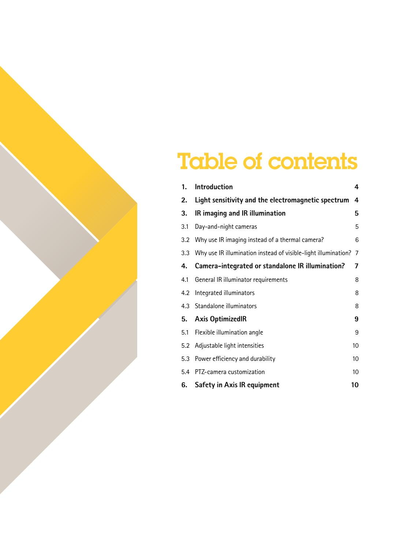# Table of contents

| 1.  | <b>Introduction</b>                                            | 4              |
|-----|----------------------------------------------------------------|----------------|
| 2.  | Light sensitivity and the electromagnetic spectrum             | 4              |
| 3.  | IR imaging and IR illumination                                 | 5              |
| 3.1 | Day-and-night cameras                                          | 5              |
|     | 3.2 Why use IR imaging instead of a thermal camera?            | 6              |
| 3.3 | Why use IR illumination instead of visible-light illumination? | $\overline{7}$ |
| 4.  | Camera-integrated or standalone IR illumination?               | 7              |
| 4.1 | General IR illuminator requirements                            | 8              |
| 4.2 | Integrated illuminators                                        | 8              |
|     | 4.3 Standalone illuminators                                    | 8              |
| 5.  | <b>Axis OptimizedIR</b>                                        | 9              |
| 5.1 | Flexible illumination angle                                    | 9              |
| 5.2 | Adjustable light intensities                                   | 10             |
|     | 5.3 Power efficiency and durability                            | 10             |
|     | 5.4 PTZ-camera customization                                   | 10             |
| 6.  | Safety in Axis IR equipment                                    | 10             |
|     |                                                                |                |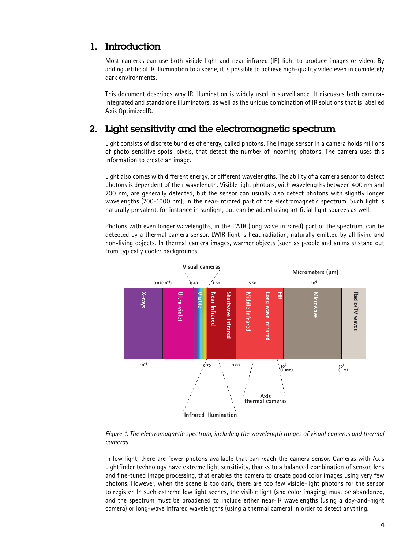## <span id="page-3-0"></span>1. Introduction

Most cameras can use both visible light and near-infrared (IR) light to produce images or video. By adding artificial IR illumination to a scene, it is possible to achieve high-quality video even in completely dark environments.

This document describes why IR illumination is widely used in surveillance. It discusses both cameraintegrated and standalone illuminators, as well as the unique combination of IR solutions that is labelled Axis OptimizedIR.

# 2. Light sensitivity and the electromagnetic spectrum

Light consists of discrete bundles of energy, called photons. The image sensor in a camera holds millions of photo-sensitive spots, pixels, that detect the number of incoming photons. The camera uses this information to create an image.

Light also comes with different energy, or different wavelengths. The ability of a camera sensor to detect photons is dependent of their wavelength. Visible light photons, with wavelengths between 400 nm and 700 nm, are generally detected, but the sensor can usually also detect photons with slightly longer wavelengths (700-1000 nm), in the near-infrared part of the electromagnetic spectrum. Such light is naturally prevalent, for instance in sunlight, but can be added using artificial light sources as well.

Photons with even longer wavelengths, in the LWIR (long wave infrared) part of the spectrum, can be detected by a thermal camera sensor. LWIR light is heat radiation, naturally emitted by all living and non-living objects. In thermal camera images, warmer objects (such as people and animals) stand out from typically cooler backgrounds.



*Figure 1: The electromagnetic spectrum, including the wavelength ranges of visual cameras and thermal cameras.*

In low light, there are fewer photons available that can reach the camera sensor. Cameras with Axis Lightfinder technology have extreme light sensitivity, thanks to a balanced combination of sensor, lens and fine-tuned image processing, that enables the camera to create good color images using very few photons. However, when the scene is too dark, there are too few visible-light photons for the sensor to register. In such extreme low light scenes, the visible light (and color imaging) must be abandoned, and the spectrum must be broadened to include either near-IR wavelengths (using a day-and-night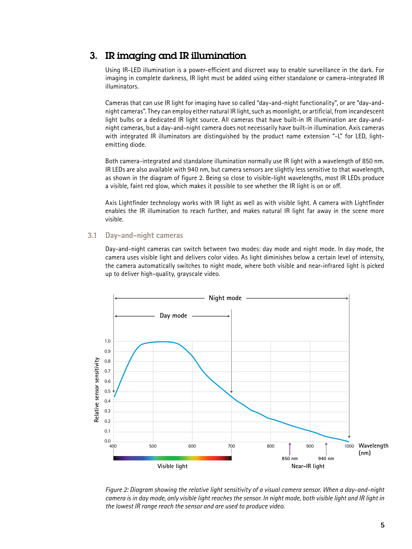# <span id="page-4-0"></span>3. IR imaging and IR illumination

Using IR-LED illumination is a power-efficient and discreet way to enable surveillance in the dark. For imaging in complete darkness, IR light must be added using either standalone or camera-integrated IR illuminators.

Cameras that can use IR light for imaging have so called "day-and-night functionality", or are "day-andnight cameras". They can employ either natural IR light, such as moonlight, or artificial, from incandescent light bulbs or a dedicated IR light source. All cameras that have built-in IR illumination are day-andnight cameras, but a day-and-night camera does not necessarily have built-in illumination. Axis cameras with integrated IR illuminators are distinguished by the product name extension "-L" for LED, lightemitting diode.

Both camera-integrated and standalone illumination normally use IR light with a wavelength of 850 nm. IR LEDs are also available with 940 nm, but camera sensors are slightly less sensitive to that wavelength, as shown in the diagram of figure 2. Being so close to visible-light wavelengths, most IR LEDs produce a visible, faint red glow, which makes it possible to see whether the IR light is on or off.

Axis Lightfinder technology works with IR light as well as with visible light. A camera with Lightfinder enables the IR illumination to reach further, and makes natural IR light far away in the scene more visible.

#### **3.1 Day-and-night cameras**

Day-and-night cameras can switch between two modes: day mode and night mode. In day mode, the camera uses visible light and delivers color video. As light diminishes below a certain level of intensity, the camera automatically switches to night mode, where both visible and near-infrared light is picked up to deliver high-quality, grayscale video.



*Figure 2: Diagram showing the relative light sensitivity of a visual camera sensor. When a day-and-night camera is in day mode, only visible light reaches the sensor. In night mode, both visible light and IR light in the lowest IR range reach the sensor and are used to produce video.*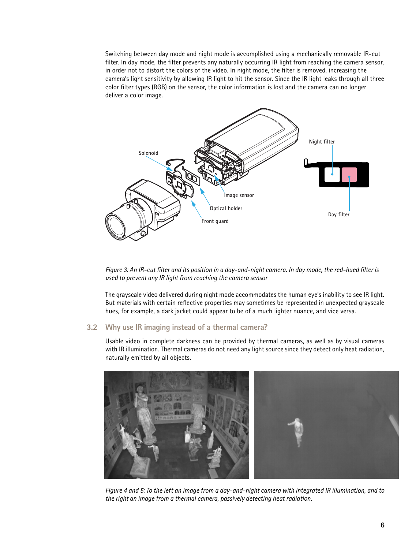<span id="page-5-0"></span>Switching between day mode and night mode is accomplished using a mechanically removable IR-cut filter. In day mode, the filter prevents any naturally occurring IR light from reaching the camera sensor, in order not to distort the colors of the video. In night mode, the filter is removed, increasing the camera's light sensitivity by allowing IR light to hit the sensor. Since the IR light leaks through all three color filter types (RGB) on the sensor, the color information is lost and the camera can no longer deliver a color image.



*Figure 3: An IR-cut filter and its position in a day-and-night camera. In day mode, the red-hued filter is used to prevent any IR light from reaching the camera sensor*

The grayscale video delivered during night mode accommodates the human eye's inability to see IR light. But materials with certain reflective properties may sometimes be represented in unexpected grayscale hues, for example, a dark jacket could appear to be of a much lighter nuance, and vice versa.

#### **3.2 Why use IR imaging instead of a thermal camera?**

Usable video in complete darkness can be provided by thermal cameras, as well as by visual cameras with IR illumination. Thermal cameras do not need any light source since they detect only heat radiation, naturally emitted by all objects.



*Figure 4 and 5: To the left an image from a day-and-night camera with integrated IR illumination, and to the right an image from a thermal camera, passively detecting heat radiation.*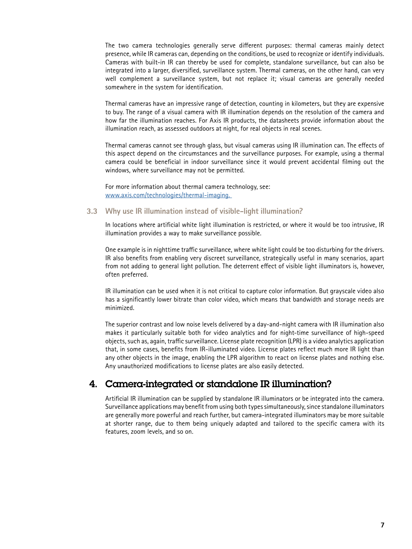<span id="page-6-0"></span>The two camera technologies generally serve different purposes: thermal cameras mainly detect presence, while IR cameras can, depending on the conditions, be used to recognize or identify individuals. Cameras with built-in IR can thereby be used for complete, standalone surveillance, but can also be integrated into a larger, diversified, surveillance system. Thermal cameras, on the other hand, can very well complement a surveillance system, but not replace it; visual cameras are generally needed somewhere in the system for identification.

Thermal cameras have an impressive range of detection, counting in kilometers, but they are expensive to buy. The range of a visual camera with IR illumination depends on the resolution of the camera and how far the illumination reaches. For Axis IR products, the datasheets provide information about the illumination reach, as assessed outdoors at night, for real objects in real scenes.

Thermal cameras cannot see through glass, but visual cameras using IR illumination can. The effects of this aspect depend on the circumstances and the surveillance purposes. For example, using a thermal camera could be beneficial in indoor surveillance since it would prevent accidental filming out the windows, where surveillance may not be permitted.

For more information about thermal camera technology, see: www.axis.com/technologies/thermal-imaging.

#### **3.3 Why use IR illumination instead of visible-light illumination?**

In locations where artificial white light illumination is restricted, or where it would be too intrusive, IR illumination provides a way to make surveillance possible.

One example is in nighttime traffic surveillance, where white light could be too disturbing for the drivers. IR also benefits from enabling very discreet surveillance, strategically useful in many scenarios, apart from not adding to general light pollution. The deterrent effect of visible light illuminators is, however, often preferred.

IR illumination can be used when it is not critical to capture color information. But grayscale video also has a significantly lower bitrate than color video, which means that bandwidth and storage needs are minimized.

The superior contrast and low noise levels delivered by a day-and-night camera with IR illumination also makes it particularly suitable both for video analytics and for night-time surveillance of high-speed objects, such as, again, traffic surveillance. License plate recognition (LPR) is a video analytics application that, in some cases, benefits from IR-illuminated video. License plates reflect much more IR light than any other objects in the image, enabling the LPR algorithm to react on license plates and nothing else. Any unauthorized modifications to license plates are also easily detected.

## 4. Camera-integrated or standalone IR illumination?

Artificial IR illumination can be supplied by standalone IR illuminators or be integrated into the camera. Surveillance applications may benefit from using both types simultaneously, since standalone illuminators are generally more powerful and reach further, but camera-integrated illuminators may be more suitable at shorter range, due to them being uniquely adapted and tailored to the specific camera with its features, zoom levels, and so on.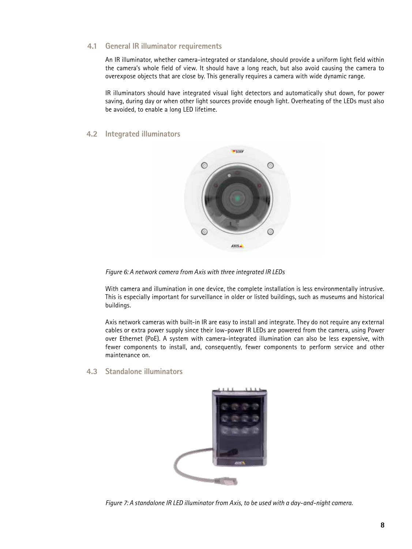#### <span id="page-7-0"></span>**4.1 General IR illuminator requirements**

An IR illuminator, whether camera-integrated or standalone, should provide a uniform light field within the camera's whole field of view. It should have a long reach, but also avoid causing the camera to overexpose objects that are close by. This generally requires a camera with wide dynamic range.

IR illuminators should have integrated visual light detectors and automatically shut down, for power saving, during day or when other light sources provide enough light. Overheating of the LEDs must also be avoided, to enable a long LED lifetime.

#### **4.2 Integrated illuminators**



*Figure 6: A network camera from Axis with three integrated IR LEDs* 

With camera and illumination in one device, the complete installation is less environmentally intrusive. This is especially important for surveillance in older or listed buildings, such as museums and historical buildings.

Axis network cameras with built-in IR are easy to install and integrate. They do not require any external cables or extra power supply since their low-power IR LEDs are powered from the camera, using Power over Ethernet (PoE). A system with camera-integrated illumination can also be less expensive, with fewer components to install, and, consequently, fewer components to perform service and other maintenance on.

#### **4.3 Standalone illuminators**



*Figure 7: A standalone IR LED illuminator from Axis, to be used with a day-and-night camera.*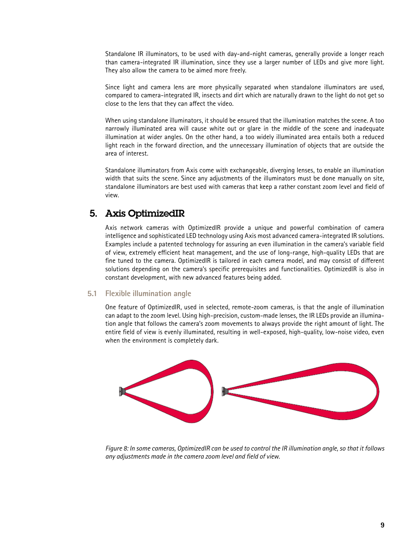<span id="page-8-0"></span>Standalone IR illuminators, to be used with day-and-night cameras, generally provide a longer reach than camera-integrated IR illumination, since they use a larger number of LEDs and give more light. They also allow the camera to be aimed more freely.

Since light and camera lens are more physically separated when standalone illuminators are used, compared to camera-integrated IR, insects and dirt which are naturally drawn to the light do not get so close to the lens that they can affect the video.

When using standalone illuminators, it should be ensured that the illumination matches the scene. A too narrowly illuminated area will cause white out or glare in the middle of the scene and inadequate illumination at wider angles. On the other hand, a too widely illuminated area entails both a reduced light reach in the forward direction, and the unnecessary illumination of objects that are outside the area of interest.

Standalone illuminators from Axis come with exchangeable, diverging lenses, to enable an illumination width that suits the scene. Since any adjustments of the illuminators must be done manually on site, standalone illuminators are best used with cameras that keep a rather constant zoom level and field of view.

### 5. Axis OptimizedIR

Axis network cameras with OptimizedIR provide a unique and powerful combination of camera intelligence and sophisticated LED technology using Axis most advanced camera-integrated IR solutions. Examples include a patented technology for assuring an even illumination in the camera's variable field of view, extremely efficient heat management, and the use of long-range, high-quality LEDs that are fine tuned to the camera. OptimizedIR is tailored in each camera model, and may consist of different solutions depending on the camera's specific prerequisites and functionalities. OptimizedIR is also in constant development, with new advanced features being added.

#### **5.1 Flexible illumination angle**

One feature of OptimizedIR, used in selected, remote-zoom cameras, is that the angle of illumination can adapt to the zoom level. Using high-precision, custom-made lenses, the IR LEDs provide an illumination angle that follows the camera's zoom movements to always provide the right amount of light. The entire field of view is evenly illuminated, resulting in well-exposed, high-quality, low-noise video, even when the environment is completely dark.



*Figure 8: In some cameras, OptimizedIR can be used to control the IR illumination angle, so that it follows any adjustments made in the camera zoom level and field of view.*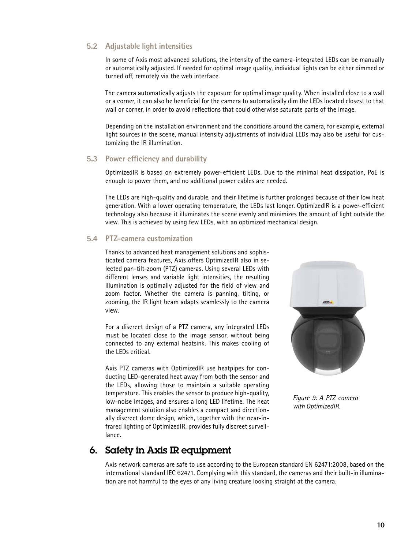#### <span id="page-9-0"></span>**5.2 Adjustable light intensities**

In some of Axis most advanced solutions, the intensity of the camera-integrated LEDs can be manually or automatically adjusted. If needed for optimal image quality, individual lights can be either dimmed or turned off, remotely via the web interface.

The camera automatically adjusts the exposure for optimal image quality. When installed close to a wall or a corner, it can also be beneficial for the camera to automatically dim the LEDs located closest to that wall or corner, in order to avoid reflections that could otherwise saturate parts of the image.

Depending on the installation environment and the conditions around the camera, for example, external light sources in the scene, manual intensity adjustments of individual LEDs may also be useful for customizing the IR illumination.

#### **5.3 Power efficiency and durability**

OptimizedIR is based on extremely power-efficient LEDs. Due to the minimal heat dissipation, PoE is enough to power them, and no additional power cables are needed.

The LEDs are high-quality and durable, and their lifetime is further prolonged because of their low heat generation. With a lower operating temperature, the LEDs last longer. OptimizedIR is a power-efficient technology also because it illuminates the scene evenly and minimizes the amount of light outside the view. This is achieved by using few LEDs, with an optimized mechanical design.

#### **5.4 PTZ-camera customization**

Thanks to advanced heat management solutions and sophisticated camera features, Axis offers OptimizedIR also in selected pan-tilt-zoom (PTZ) cameras. Using several LEDs with different lenses and variable light intensities, the resulting illumination is optimally adjusted for the field of view and zoom factor. Whether the camera is panning, tilting, or zooming, the IR light beam adapts seamlessly to the camera view.

For a discreet design of a PTZ camera, any integrated LEDs must be located close to the image sensor, without being connected to any external heatsink. This makes cooling of the LEDs critical.

Axis PTZ cameras with OptimizedIR use heatpipes for conducting LED-generated heat away from both the sensor and the LEDs, allowing those to maintain a suitable operating temperature. This enables the sensor to produce high-quality, low-noise images, and ensures a long LED lifetime. The heat management solution also enables a compact and directionally discreet dome design, which, together with the near-infrared lighting of OptimizedIR, provides fully discreet surveillance.



*Figure 9: A PTZ camera with OptimizedIR.*

### 6. Safety in Axis IR equipment

Axis network cameras are safe to use according to the European standard EN 62471:2008, based on the international standard IEC 62471. Complying with this standard, the cameras and their built-in illumination are not harmful to the eyes of any living creature looking straight at the camera.